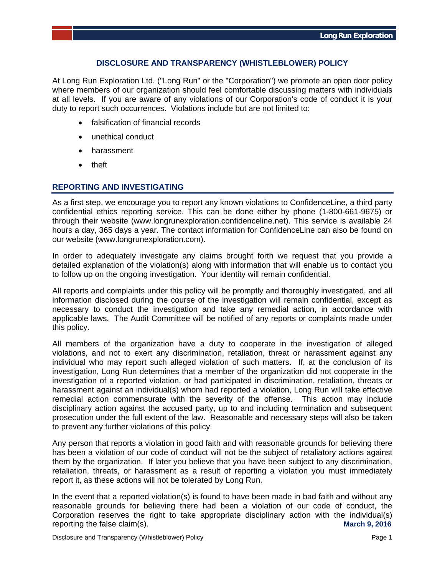## **DISCLOSURE AND TRANSPARENCY (WHISTLEBLOWER) POLICY**

At Long Run Exploration Ltd. ("Long Run" or the "Corporation") we promote an open door policy where members of our organization should feel comfortable discussing matters with individuals at all levels. If you are aware of any violations of our Corporation's code of conduct it is your duty to report such occurrences. Violations include but are not limited to:

- falsification of financial records
- unethical conduct
- harassment
- theft

## **REPORTING AND INVESTIGATING**

As a first step, we encourage you to report any known violations to ConfidenceLine, a third party confidential ethics reporting service. This can be done either by phone (1-800-661-9675) or through their website (www.longrunexploration.confidenceline.net). This service is available 24 hours a day, 365 days a year. The contact information for ConfidenceLine can also be found on our website (www.longrunexploration.com).

In order to adequately investigate any claims brought forth we request that you provide a detailed explanation of the violation(s) along with information that will enable us to contact you to follow up on the ongoing investigation. Your identity will remain confidential.

All reports and complaints under this policy will be promptly and thoroughly investigated, and all information disclosed during the course of the investigation will remain confidential, except as necessary to conduct the investigation and take any remedial action, in accordance with applicable laws. The Audit Committee will be notified of any reports or complaints made under this policy.

All members of the organization have a duty to cooperate in the investigation of alleged violations, and not to exert any discrimination, retaliation, threat or harassment against any individual who may report such alleged violation of such matters. If, at the conclusion of its investigation, Long Run determines that a member of the organization did not cooperate in the investigation of a reported violation, or had participated in discrimination, retaliation, threats or harassment against an individual(s) whom had reported a violation, Long Run will take effective remedial action commensurate with the severity of the offense. This action may include disciplinary action against the accused party, up to and including termination and subsequent prosecution under the full extent of the law. Reasonable and necessary steps will also be taken to prevent any further violations of this policy.

Any person that reports a violation in good faith and with reasonable grounds for believing there has been a violation of our code of conduct will not be the subject of retaliatory actions against them by the organization. If later you believe that you have been subject to any discrimination, retaliation, threats, or harassment as a result of reporting a violation you must immediately report it, as these actions will not be tolerated by Long Run.

In the event that a reported violation(s) is found to have been made in bad faith and without any reasonable grounds for believing there had been a violation of our code of conduct, the Corporation reserves the right to take appropriate disciplinary action with the individual(s) reporting the false claim(s). **March 9, 2016**